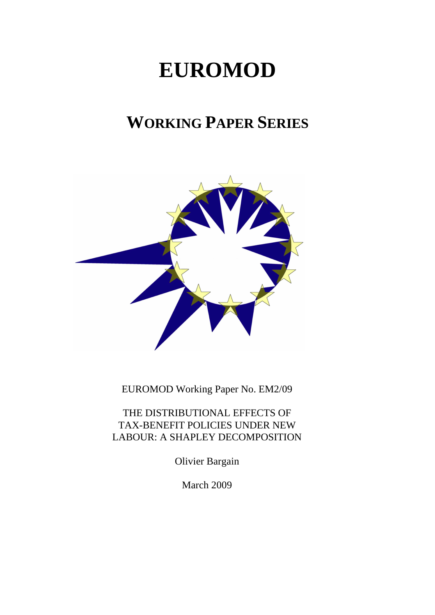# **EUROMOD**

# **WORKING PAPER SERIES**



EUROMOD Working Paper No. EM2/09

THE DISTRIBUTIONAL EFFECTS OF TAX-BENEFIT POLICIES UNDER NEW LABOUR: A SHAPLEY DECOMPOSITION

Olivier Bargain

March 2009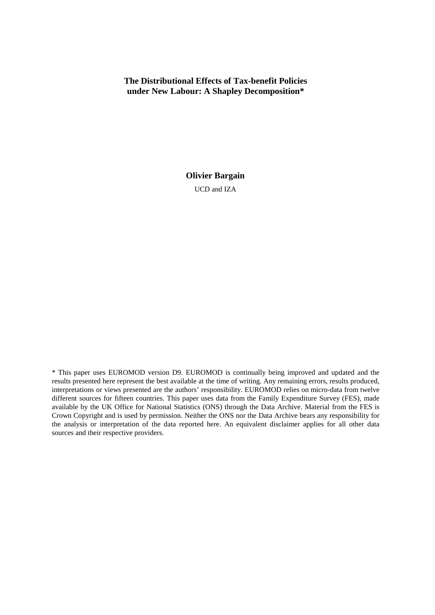# **The Distributional Effects of Tax-benefit Policies under New Labour: A Shapley Decomposition\***

**Olivier Bargain** 

UCD and IZA

<sup>\*</sup> This paper uses EUROMOD version D9. EUROMOD is continually being improved and updated and the results presented here represent the best available at the time of writing. Any remaining errors, results produced, interpretations or views presented are the authors' responsibility. EUROMOD relies on micro-data from twelve different sources for fifteen countries. This paper uses data from the Family Expenditure Survey (FES), made available by the UK Office for National Statistics (ONS) through the Data Archive. Material from the FES is Crown Copyright and is used by permission. Neither the ONS nor the Data Archive bears any responsibility for the analysis or interpretation of the data reported here. An equivalent disclaimer applies for all other data sources and their respective providers.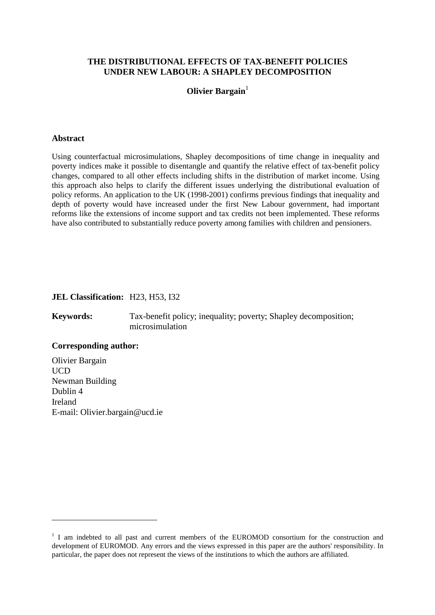# **THE DISTRIBUTIONAL EFFECTS OF TAX-BENEFIT POLICIES UNDER NEW LABOUR: A SHAPLEY DECOMPOSITION**

## **Olivier Bargain**<sup>1</sup>

#### **Abstract**

Using counterfactual microsimulations, Shapley decompositions of time change in inequality and poverty indices make it possible to disentangle and quantify the relative effect of tax-benefit policy changes, compared to all other effects including shifts in the distribution of market income. Using this approach also helps to clarify the different issues underlying the distributional evaluation of policy reforms. An application to the UK (1998-2001) confirms previous findings that inequality and depth of poverty would have increased under the first New Labour government, had important reforms like the extensions of income support and tax credits not been implemented. These reforms have also contributed to substantially reduce poverty among families with children and pensioners.

#### **JEL Classification:** H23, H53, I32

**Keywords:** Tax-benefit policy; inequality; poverty; Shapley decomposition; microsimulation

#### **Corresponding author:**

 $\overline{a}$ 

Olivier Bargain UCD Newman Building Dublin 4 Ireland E-mail: Olivier.bargain@ucd.ie

<sup>&</sup>lt;sup>1</sup> I am indebted to all past and current members of the EUROMOD consortium for the construction and development of EUROMOD. Any errors and the views expressed in this paper are the authors' responsibility. In particular, the paper does not represent the views of the institutions to which the authors are affiliated.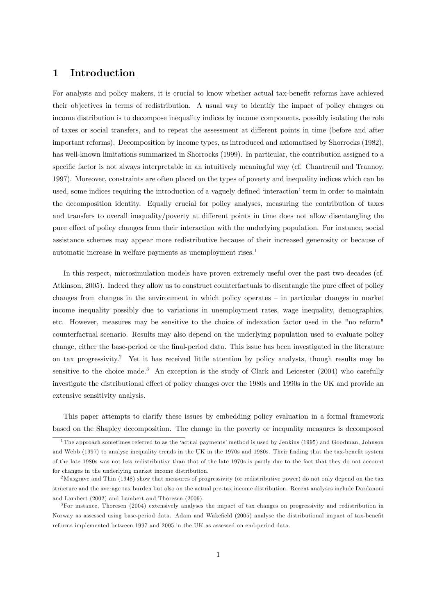# 1 Introduction

For analysts and policy makers, it is crucial to know whether actual tax-benefit reforms have achieved their objectives in terms of redistribution. A usual way to identify the impact of policy changes on income distribution is to decompose inequality indices by income components, possibly isolating the role of taxes or social transfers, and to repeat the assessment at different points in time (before and after important reforms). Decomposition by income types, as introduced and axiomatised by Shorrocks (1982), has well-known limitations summarized in Shorrocks (1999). In particular, the contribution assigned to a specific factor is not always interpretable in an intuitively meaningful way (cf. Chantreuil and Trannoy, 1997). Moreover, constraints are often placed on the types of poverty and inequality indices which can be used, some indices requiring the introduction of a vaguely defined 'interaction' term in order to maintain the decomposition identity. Equally crucial for policy analyses, measuring the contribution of taxes and transfers to overall inequality/poverty at different points in time does not allow disentangling the pure effect of policy changes from their interaction with the underlying population. For instance, social assistance schemes may appear more redistributive because of their increased generosity or because of automatic increase in welfare payments as unemployment rises.<sup>1</sup>

In this respect, microsimulation models have proven extremely useful over the past two decades (cf. Atkinson, 2005). Indeed they allow us to construct counterfactuals to disentangle the pure effect of policy changes from changes in the environment in which policy operates  $-$  in particular changes in market income inequality possibly due to variations in unemployment rates, wage inequality, demographics, etc. However, measures may be sensitive to the choice of indexation factor used in the "no reform" counterfactual scenario. Results may also depend on the underlying population used to evaluate policy change, either the base-period or the final-period data. This issue has been investigated in the literature on tax progressivity.<sup>2</sup> Yet it has received little attention by policy analysts, though results may be sensitive to the choice made.<sup>3</sup> An exception is the study of Clark and Leicester (2004) who carefully investigate the distributional effect of policy changes over the 1980s and 1990s in the UK and provide an extensive sensitivity analysis.

This paper attempts to clarify these issues by embedding policy evaluation in a formal framework based on the Shapley decomposition. The change in the poverty or inequality measures is decomposed

<sup>&</sup>lt;sup>1</sup>The approach sometimes referred to as the 'actual payments' method is used by Jenkins (1995) and Goodman, Johnson and Webb (1997) to analyse inequality trends in the UK in the 1970s and 1980s. Their finding that the tax-benefit system of the late 1980s was not less redistributive than that of the late 1970s is partly due to the fact that they do not account for changes in the underlying market income distribution.

<sup>2</sup>Musgrave and Thin (1948) show that measures of progressivity (or redistributive power) do not only depend on the tax structure and the average tax burden but also on the actual pre-tax income distribution. Recent analyses include Dardanoni and Lambert (2002) and Lambert and Thoresen (2009).

<sup>3</sup>For instance, Thoresen (2004) extensively analyses the impact of tax changes on progressivity and redistribution in Norway as assessed using base-period data. Adam and Wakefield (2005) analyse the distributional impact of tax-benefit reforms implemented between 1997 and 2005 in the UK as assessed on end-period data.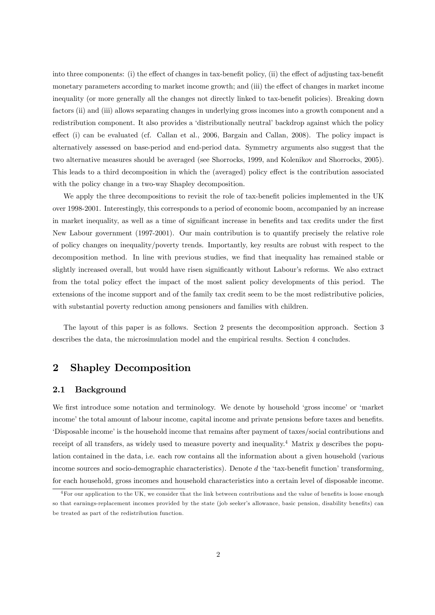into three components: (i) the effect of changes in tax-benefit policy, (ii) the effect of adjusting tax-benefit monetary parameters according to market income growth; and (iii) the effect of changes in market income inequality (or more generally all the changes not directly linked to tax-benefit policies). Breaking down factors (ii) and (iii) allows separating changes in underlying gross incomes into a growth component and a redistribution component. It also provides a 'distributionally neutral' backdrop against which the policy effect (i) can be evaluated (cf. Callan et al., 2006, Bargain and Callan, 2008). The policy impact is alternatively assessed on base-period and end-period data. Symmetry arguments also suggest that the two alternative measures should be averaged (see Shorrocks, 1999, and Kolenikov and Shorrocks, 2005). This leads to a third decomposition in which the (averaged) policy effect is the contribution associated with the policy change in a two-way Shapley decomposition.

We apply the three decompositions to revisit the role of tax-benefit policies implemented in the UK over 1998-2001. Interestingly, this corresponds to a period of economic boom, accompanied by an increase in market inequality, as well as a time of significant increase in benefits and tax credits under the first New Labour government (1997-2001). Our main contribution is to quantify precisely the relative role of policy changes on inequality/poverty trends. Importantly, key results are robust with respect to the decomposition method. In line with previous studies, we find that inequality has remained stable or slightly increased overall, but would have risen significantly without Labour's reforms. We also extract from the total policy effect the impact of the most salient policy developments of this period. The extensions of the income support and of the family tax credit seem to be the most redistributive policies, with substantial poverty reduction among pensioners and families with children.

The layout of this paper is as follows. Section 2 presents the decomposition approach. Section 3 describes the data, the microsimulation model and the empirical results. Section 4 concludes.

# 2 Shapley Decomposition

#### 2.1 Background

We first introduce some notation and terminology. We denote by household 'gross income' or 'market' income' the total amount of labour income, capital income and private pensions before taxes and benefits. ëDisposable incomeíis the household income that remains after payment of taxes/social contributions and receipt of all transfers, as widely used to measure poverty and inequality.<sup>4</sup> Matrix  $\eta$  describes the population contained in the data, i.e. each row contains all the information about a given household (various income sources and socio-demographic characteristics). Denote  $d$  the 'tax-benefit function' transforming, for each household, gross incomes and household characteristics into a certain level of disposable income.

 $4$  For our application to the UK, we consider that the link between contributions and the value of benefits is loose enough so that earnings-replacement incomes provided by the state (job seeker's allowance, basic pension, disability benefits) can be treated as part of the redistribution function.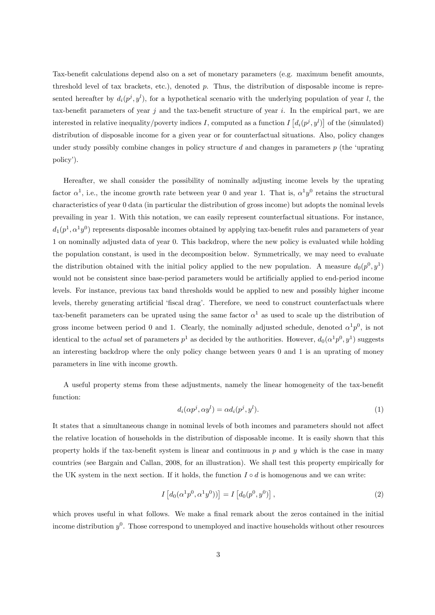Tax-benefit calculations depend also on a set of monetary parameters (e.g. maximum benefit amounts, threshold level of tax brackets, etc.), denoted  $p$ . Thus, the distribution of disposable income is represented hereafter by  $d_i(p^j, y^l)$ , for a hypothetical scenario with the underlying population of year l, the tax-benefit parameters of year j and the tax-benefit structure of year i. In the empirical part, we are interested in relative inequality/poverty indices I, computed as a function  $I\left[d_i(p^j, y^l)\right]$  of the (simulated) distribution of disposable income for a given year or for counterfactual situations. Also, policy changes under study possibly combine changes in policy structure  $d$  and changes in parameters  $p$  (the 'uprating policy').

Hereafter, we shall consider the possibility of nominally adjusting income levels by the uprating factor  $\alpha^1$ , i.e., the income growth rate between year 0 and year 1. That is,  $\alpha^1 y^0$  retains the structural characteristics of year 0 data (in particular the distribution of gross income) but adopts the nominal levels prevailing in year 1. With this notation, we can easily represent counterfactual situations. For instance,  $d_1(p^1, \alpha^1 y^0)$  represents disposable incomes obtained by applying tax-benefit rules and parameters of year 1 on nominally adjusted data of year 0. This backdrop, where the new policy is evaluated while holding the population constant, is used in the decomposition below. Symmetrically, we may need to evaluate the distribution obtained with the initial policy applied to the new population. A measure  $d_0(p^0, y^1)$ would not be consistent since base-period parameters would be artificially applied to end-period income levels. For instance, previous tax band thresholds would be applied to new and possibly higher income levels, thereby generating artificial 'fiscal drag'. Therefore, we need to construct counterfactuals where tax-benefit parameters can be uprated using the same factor  $\alpha^1$  as used to scale up the distribution of gross income between period 0 and 1. Clearly, the nominally adjusted schedule, denoted  $\alpha^1 p^0$ , is not identical to the *actual* set of parameters  $p^1$  as decided by the authorities. However,  $d_0(\alpha^1 p^0, y^1)$  suggests an interesting backdrop where the only policy change between years 0 and 1 is an uprating of money parameters in line with income growth.

A useful property stems from these adjustments, namely the linear homogeneity of the tax-benefit function:

$$
d_i(\alpha p^j, \alpha y^l) = \alpha d_i(p^j, y^l). \tag{1}
$$

It states that a simultaneous change in nominal levels of both incomes and parameters should not affect the relative location of households in the distribution of disposable income. It is easily shown that this property holds if the tax-benefit system is linear and continuous in  $p$  and  $y$  which is the case in many countries (see Bargain and Callan, 2008, for an illustration). We shall test this property empirically for the UK system in the next section. If it holds, the function  $I \circ d$  is homogenous and we can write:

$$
I\left[d_0(\alpha^1 p^0, \alpha^1 y^0))\right] = I\left[d_0(p^0, y^0)\right],\tag{2}
$$

which proves useful in what follows. We make a final remark about the zeros contained in the initial income distribution  $y^0$ . Those correspond to unemployed and inactive households without other resources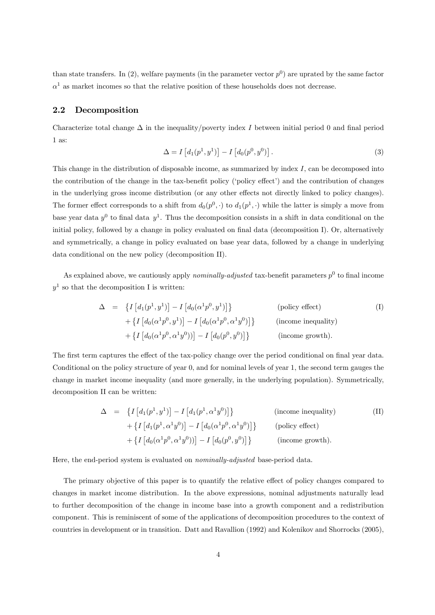than state transfers. In (2), welfare payments (in the parameter vector  $p^0$ ) are uprated by the same factor  $\alpha^1$  as market incomes so that the relative position of these households does not decrease.

#### 2.2 Decomposition

Characterize total change  $\Delta$  in the inequality/poverty index I between initial period 0 and final period 1 as:

$$
\Delta = I \left[ d_1(p^1, y^1) \right] - I \left[ d_0(p^0, y^0) \right]. \tag{3}
$$

This change in the distribution of disposable income, as summarized by index  $I$ , can be decomposed into the contribution of the change in the tax-benefit policy ('policy effect') and the contribution of changes in the underlying gross income distribution (or any other effects not directly linked to policy changes). The former effect corresponds to a shift from  $d_0(p^0, \cdot)$  to  $d_1(p^1, \cdot)$  while the latter is simply a move from base year data  $y^0$  to final data  $y^1$ . Thus the decomposition consists in a shift in data conditional on the initial policy, followed by a change in policy evaluated on final data (decomposition I). Or, alternatively and symmetrically, a change in policy evaluated on base year data, followed by a change in underlying data conditional on the new policy (decomposition II).

As explained above, we cautiously apply *nominally-adjusted* tax-benefit parameters  $p^0$  to final income  $y<sup>1</sup>$  so that the decomposition I is written:

$$
\Delta = \left\{ I\left[d_1(p^1, y^1)\right] - I\left[d_0(\alpha^1 p^0, y^1)\right] \right\} \qquad \text{(policy effect)}+ \left\{ I\left[d_0(\alpha^1 p^0, y^1)\right] - I\left[d_0(\alpha^1 p^0, \alpha^1 y^0)\right] \right\} \qquad \text{(income inequality)}+ \left\{ I\left[d_0(\alpha^1 p^0, \alpha^1 y^0)\right] - I\left[d_0(p^0, y^0)\right] \right\} \qquad \text{(income growth)}.
$$

The first term captures the effect of the tax-policy change over the period conditional on final year data. Conditional on the policy structure of year 0, and for nominal levels of year 1, the second term gauges the change in market income inequality (and more generally, in the underlying population). Symmetrically, decomposition II can be written:

$$
\Delta = \left\{ I\left[d_1(p^1, y^1)\right] - I\left[d_1(p^1, \alpha^1 y^0)\right] \right\} \qquad \text{(income inequality)}+ \left\{ I\left[d_1(p^1, \alpha^1 y^0)\right] - I\left[d_0(\alpha^1 p^0, \alpha^1 y^0)\right] \right\} \qquad \text{(policy effect)}+ \left\{ I\left[d_0(\alpha^1 p^0, \alpha^1 y^0)\right] - I\left[d_0(p^0, y^0)\right] \right\} \qquad \text{(income growth)}.
$$

Here, the end-period system is evaluated on nominally-adjusted base-period data.

The primary objective of this paper is to quantify the relative effect of policy changes compared to changes in market income distribution. In the above expressions, nominal adjustments naturally lead to further decomposition of the change in income base into a growth component and a redistribution component. This is reminiscent of some of the applications of decomposition procedures to the context of countries in development or in transition. Datt and Ravallion (1992) and Kolenikov and Shorrocks (2005),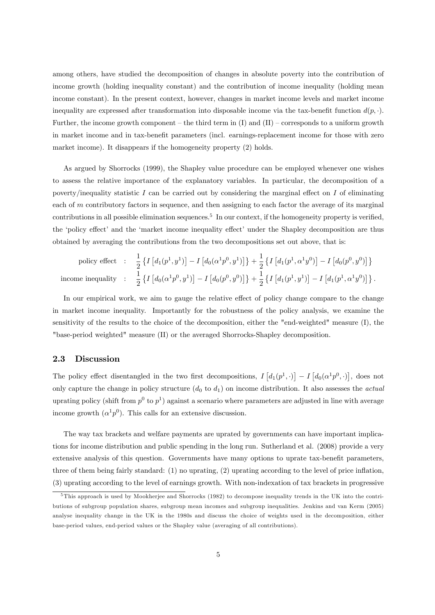among others, have studied the decomposition of changes in absolute poverty into the contribution of income growth (holding inequality constant) and the contribution of income inequality (holding mean income constant). In the present context, however, changes in market income levels and market income inequality are expressed after transformation into disposable income via the tax-benefit function  $d(p, \cdot)$ . Further, the income growth component – the third term in  $(I)$  and  $(II)$  – corresponds to a uniform growth in market income and in tax-benefit parameters (incl. earnings-replacement income for those with zero market income). It disappears if the homogeneity property  $(2)$  holds.

As argued by Shorrocks (1999), the Shapley value procedure can be employed whenever one wishes to assess the relative importance of the explanatory variables. In particular, the decomposition of a poverty/inequality statistic I can be carried out by considering the marginal effect on I of eliminating each of m contributory factors in sequence, and then assigning to each factor the average of its marginal contributions in all possible elimination sequences.<sup>5</sup> In our context, if the homogeneity property is verified, the 'policy effect' and the 'market income inequality effect' under the Shapley decomposition are thus obtained by averaging the contributions from the two decompositions set out above, that is:

$$
\text{policy effect} \quad : \quad \frac{1}{2} \left\{ I \left[ d_1(p^1, y^1) \right] - I \left[ d_0(\alpha^1 p^0, y^1) \right] \right\} + \frac{1}{2} \left\{ I \left[ d_1(p^1, \alpha^1 y^0) \right] - I \left[ d_0(p^0, y^0) \right] \right\} \n\text{income inequality} \quad : \quad \frac{1}{2} \left\{ I \left[ d_0(\alpha^1 p^0, y^1) \right] - I \left[ d_0(p^0, y^0) \right] \right\} + \frac{1}{2} \left\{ I \left[ d_1(p^1, y^1) \right] - I \left[ d_1(p^1, \alpha^1 y^0) \right] \right\}.
$$

In our empirical work, we aim to gauge the relative effect of policy change compare to the change in market income inequality. Importantly for the robustness of the policy analysis, we examine the sensitivity of the results to the choice of the decomposition, either the "end-weighted" measure (I), the "base-period weighted" measure (II) or the averaged Shorrocks-Shapley decomposition.

#### 2.3 Discussion

The policy effect disentangled in the two first decompositions,  $I[d_1(p^1,\cdot)] - I[d_0(\alpha^1 p^0,\cdot)]$ , does not only capture the change in policy structure  $(d_0$  to  $d_1)$  on income distribution. It also assesses the *actual* uprating policy (shift from  $p^0$  to  $p^1$ ) against a scenario where parameters are adjusted in line with average income growth  $(\alpha^1 p^0)$ . This calls for an extensive discussion.

The way tax brackets and welfare payments are uprated by governments can have important implications for income distribution and public spending in the long run. Sutherland et al. (2008) provide a very extensive analysis of this question. Governments have many options to uprate tax-benefit parameters, three of them being fairly standard:  $(1)$  no uprating,  $(2)$  uprating according to the level of price inflation, (3) uprating according to the level of earnings growth. With non-indexation of tax brackets in progressive

<sup>5</sup> This approach is used by Mookherjee and Shorrocks (1982) to decompose inequality trends in the UK into the contributions of subgroup population shares, subgroup mean incomes and subgroup inequalities. Jenkins and van Kerm (2005) analyse inequality change in the UK in the 1980s and discuss the choice of weights used in the decomposition, either base-period values, end-period values or the Shapley value (averaging of all contributions).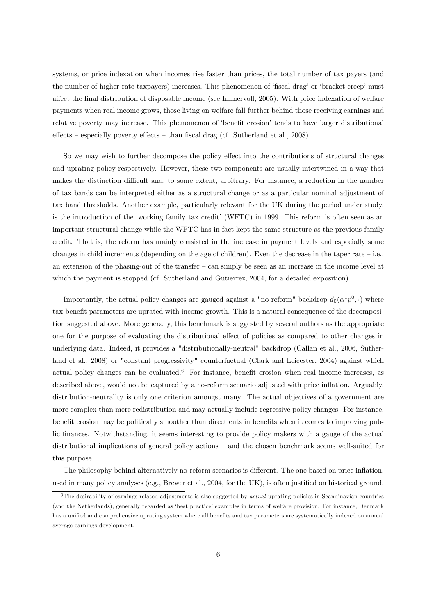systems, or price indexation when incomes rise faster than prices, the total number of tax payers (and the number of higher-rate taxpayers) increases. This phenomenon of 'fiscal drag' or 'bracket creep' must affect the final distribution of disposable income (see Immervoll, 2005). With price indexation of welfare payments when real income grows, those living on welfare fall further behind those receiving earnings and relative poverty may increase. This phenomenon of 'benefit erosion' tends to have larger distributional effects  $\sim$  especially poverty effects  $\sim$  than fiscal drag (cf. Sutherland et al., 2008).

So we may wish to further decompose the policy effect into the contributions of structural changes and uprating policy respectively. However, these two components are usually intertwined in a way that makes the distinction difficult and, to some extent, arbitrary. For instance, a reduction in the number of tax bands can be interpreted either as a structural change or as a particular nominal adjustment of tax band thresholds. Another example, particularly relevant for the UK during the period under study, is the introduction of the 'working family tax credit' (WFTC) in 1999. This reform is often seen as an important structural change while the WFTC has in fact kept the same structure as the previous family credit. That is, the reform has mainly consisted in the increase in payment levels and especially some changes in child increments (depending on the age of children). Even the decrease in the taper rate  $-i.e.,$ an extension of the phasing-out of the transfer  $-$  can simply be seen as an increase in the income level at which the payment is stopped (cf. Sutherland and Gutierrez, 2004, for a detailed exposition).

Importantly, the actual policy changes are gauged against a "no reform" backdrop  $d_0(\alpha^1 p^0, \cdot)$  where tax-benefit parameters are uprated with income growth. This is a natural consequence of the decomposition suggested above. More generally, this benchmark is suggested by several authors as the appropriate one for the purpose of evaluating the distributional effect of policies as compared to other changes in underlying data. Indeed, it provides a "distributionally-neutral" backdrop (Callan et al., 2006, Sutherland et al., 2008) or "constant progressivity" counterfactual (Clark and Leicester, 2004) against which actual policy changes can be evaluated.<sup>6</sup> For instance, benefit erosion when real income increases, as described above, would not be captured by a no-reform scenario adjusted with price inflation. Arguably, distribution-neutrality is only one criterion amongst many. The actual objectives of a government are more complex than mere redistribution and may actually include regressive policy changes. For instance, benefit erosion may be politically smoother than direct cuts in benefits when it comes to improving public finances. Notwithstanding, it seems interesting to provide policy makers with a gauge of the actual distributional implications of general policy actions  $-$  and the chosen benchmark seems well-suited for this purpose.

The philosophy behind alternatively no-reform scenarios is different. The one based on price inflation, used in many policy analyses (e.g., Brewer et al., 2004, for the UK), is often justified on historical ground.

 $6$ The desirability of earnings-related adjustments is also suggested by *actual* uprating policies in Scandinavian countries (and the Netherlands), generally regarded as 'best practice' examples in terms of welfare provision. For instance, Denmark has a unified and comprehensive uprating system where all benefits and tax parameters are systematically indexed on annual average earnings development.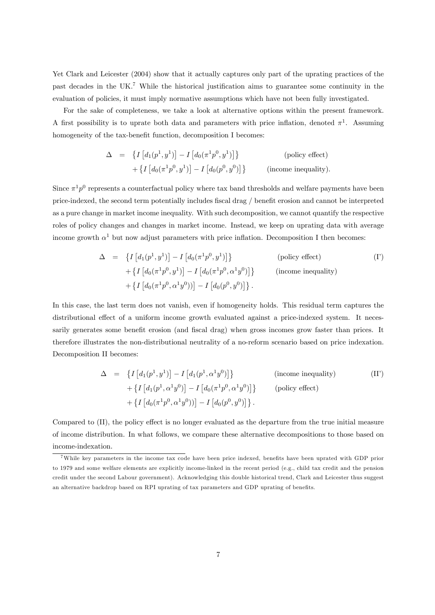Yet Clark and Leicester (2004) show that it actually captures only part of the uprating practices of the past decades in the UK.<sup>7</sup> While the historical justification aims to guarantee some continuity in the evaluation of policies, it must imply normative assumptions which have not been fully investigated.

For the sake of completeness, we take a look at alternative options within the present framework. A first possibility is to uprate both data and parameters with price inflation, denoted  $\pi^1$ . Assuming homogeneity of the tax-benefit function, decomposition I becomes:

$$
\Delta = \left\{ I \left[ d_1(p^1, y^1) \right] - I \left[ d_0(\pi^1 p^0, y^1) \right] \right\}
$$
 (policy effect)  
+ 
$$
\left\{ I \left[ d_0(\pi^1 p^0, y^1) \right] - I \left[ d_0(p^0, y^0) \right] \right\}
$$
 (income inequality).

Since  $\pi^1 p^0$  represents a counterfactual policy where tax band thresholds and welfare payments have been price-indexed, the second term potentially includes Öscal drag / beneÖt erosion and cannot be interpreted as a pure change in market income inequality. With such decomposition, we cannot quantify the respective roles of policy changes and changes in market income. Instead, we keep on uprating data with average income growth  $\alpha^1$  but now adjust parameters with price inflation. Decomposition I then becomes:

$$
\Delta = \left\{ I\left[d_1(p^1, y^1)\right] - I\left[d_0(\pi^1 p^0, y^1)\right] \right\} \qquad \text{(policy effect)}+ \left\{ I\left[d_0(\pi^1 p^0, y^1)\right] - I\left[d_0(\pi^1 p^0, \alpha^1 y^0)\right] \right\} \qquad \text{(income inequality)}+ \left\{ I\left[d_0(\pi^1 p^0, \alpha^1 y^0)\right] - I\left[d_0(p^0, y^0)\right] \right\}.
$$

In this case, the last term does not vanish, even if homogeneity holds. This residual term captures the distributional effect of a uniform income growth evaluated against a price-indexed system. It necessarily generates some benefit erosion (and fiscal drag) when gross incomes grow faster than prices. It therefore illustrates the non-distributional neutrality of a no-reform scenario based on price indexation. Decomposition II becomes:

$$
\Delta = \left\{ I\left[d_1(p^1, y^1)\right] - I\left[d_1(p^1, \alpha^1 y^0)\right] \right\} \qquad \text{(income inequality)}+ \left\{ I\left[d_1(p^1, \alpha^1 y^0)\right] - I\left[d_0(\pi^1 p^0, \alpha^1 y^0)\right] \right\} \qquad \text{(policy effect)}+ \left\{ I\left[d_0(\pi^1 p^0, \alpha^1 y^0)\right] - I\left[d_0(p^0, y^0)\right] \right\}.
$$

Compared to (II), the policy effect is no longer evaluated as the departure from the true initial measure of income distribution. In what follows, we compare these alternative decompositions to those based on income-indexation.

<sup>&</sup>lt;sup>7</sup>While key parameters in the income tax code have been price indexed, benefits have been uprated with GDP prior to 1979 and some welfare elements are explicitly income-linked in the recent period (e.g., child tax credit and the pension credit under the second Labour government). Acknowledging this double historical trend, Clark and Leicester thus suggest an alternative backdrop based on RPI uprating of tax parameters and GDP uprating of benefits.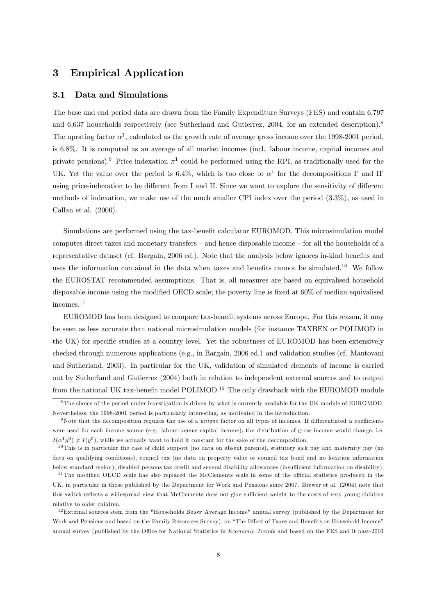# 3 Empirical Application

#### 3.1 Data and Simulations

The base and end period data are drawn from the Family Expenditure Surveys (FES) and contain 6,797 and 6,637 households respectively (see Sutherland and Gutierrez, 2004, for an extended description).<sup>8</sup> The uprating factor  $\alpha^1$ , calculated as the growth rate of average gross income over the 1998-2001 period, is 6:8%. It is computed as an average of all market incomes (incl. labour income, capital incomes and private pensions).<sup>9</sup> Price indexation  $\pi^1$  could be performed using the RPI, as traditionally used for the UK. Yet the value over the period is 6.4%, which is too close to  $\alpha^1$  for the decompositions I' and II' using price-indexation to be different from I and II. Since we want to explore the sensitivity of different methods of indexation, we make use of the much smaller CPI index over the period (3:3%), as used in Callan et al. (2006).

Simulations are performed using the tax-benefit calculator EUROMOD. This microsimulation model computes direct taxes and monetary transfers  $-$  and hence disposable income  $-$  for all the households of a representative dataset (cf. Bargain, 2006 ed.). Note that the analysis below ignores in-kind benefits and uses the information contained in the data when taxes and benefits cannot be simulated.<sup>10</sup> We follow the EUROSTAT recommended assumptions. That is, all measures are based on equivalised household disposable income using the modified OECD scale; the poverty line is fixed at  $60\%$  of median equivalised incomes.<sup>11</sup>

EUROMOD has been designed to compare tax-benefit systems across Europe. For this reason, it may be seen as less accurate than national microsimulation models (for instance TAXBEN or POLIMOD in the UK) for specific studies at a country level. Yet the robustness of EUROMOD has been extensively checked through numerous applications (e.g., in Bargain, 2006 ed.) and validation studies (cf. Mantovani and Sutherland, 2003). In particular for the UK, validation of simulated elements of income is carried out by Sutherland and Gutierrez (2004) both in relation to independent external sources and to output from the national UK tax-benefit model POLIMOD.<sup>12</sup> The only drawback with the EUROMOD module

<sup>&</sup>lt;sup>8</sup>The choice of the period under investigation is driven by what is currently available for the UK module of EUROMOD. Nevertheless, the 1998-2001 period is particularly interesting, as motivated in the introduction.

<sup>&</sup>lt;sup>9</sup>Note that the decomposition requires the use of a *unique* factor on all types of incomes. If differentiated  $\alpha$  coefficients were used for each income source (e.g. labour versus capital income), the distribution of gross income would change, i.e.  $I(\alpha^1 y^0) \neq I(y^0)$ , while we actually want to hold it constant for the sake of the decomposition.

 $10$  This is in particular the case of child support (no data on absent parents), statutory sick pay and maternity pay (no data on qualifying conditions), council tax (no data on property value or council tax band and no location information below standard region), disabled persons tax credit and several disability allowances (insufficient information on disability).

 $11$  The modified OECD scale has also replaced the McClements scale in some of the official statistics produced in the UK, in particular in those published by the Department for Work and Pensions since 2007. Brewer et al. (2004) note that this switch reflects a widespread view that McClements does not give sufficient weight to the costs of very young children relative to older children.

 $12$  External sources stem from the "Households Below Average Income" annual survey (published by the Department for Work and Pensions and based on the Family Resources Survey), on "The Effect of Taxes and Benefits on Household Income" annual survey (published by the Office for National Statistics in *Economic Trends* and based on the FES and it past-2001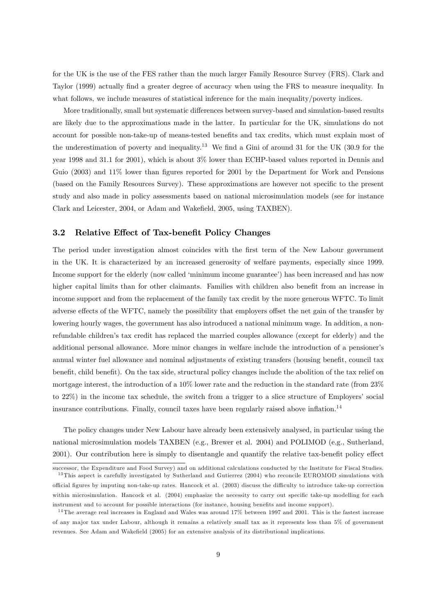for the UK is the use of the FES rather than the much larger Family Resource Survey (FRS). Clark and Taylor (1999) actually find a greater degree of accuracy when using the FRS to measure inequality. In what follows, we include measures of statistical inference for the main inequality/poverty indices.

More traditionally, small but systematic differences between survey-based and simulation-based results are likely due to the approximations made in the latter. In particular for the UK, simulations do not account for possible non-take-up of means-tested benefits and tax credits, which must explain most of the underestimation of poverty and inequality.<sup>13</sup> We find a Gini of around 31 for the UK (30.9 for the year 1998 and 31.1 for 2001), which is about 3% lower than ECHP-based values reported in Dennis and Guio (2003) and 11% lower than figures reported for 2001 by the Department for Work and Pensions (based on the Family Resources Survey). These approximations are however not specific to the present study and also made in policy assessments based on national microsimulation models (see for instance Clark and Leicester, 2004, or Adam and Wakefield, 2005, using TAXBEN).

#### 3.2 Relative Effect of Tax-benefit Policy Changes

The period under investigation almost coincides with the first term of the New Labour government in the UK. It is characterized by an increased generosity of welfare payments, especially since 1999. Income support for the elderly (now called 'minimum income guarantee') has been increased and has now higher capital limits than for other claimants. Families with children also benefit from an increase in income support and from the replacement of the family tax credit by the more generous WFTC. To limit adverse effects of the WFTC, namely the possibility that employers offset the net gain of the transfer by lowering hourly wages, the government has also introduced a national minimum wage. In addition, a nonrefundable childrenís tax credit has replaced the married couples allowance (except for elderly) and the additional personal allowance. More minor changes in welfare include the introduction of a pensioner's annual winter fuel allowance and nominal adjustments of existing transfers (housing benefit, council tax benefit, child benefit). On the tax side, structural policy changes include the abolition of the tax relief on mortgage interest, the introduction of a 10% lower rate and the reduction in the standard rate (from 23% to  $22\%$ ) in the income tax schedule, the switch from a trigger to a slice structure of Employers' social insurance contributions. Finally, council taxes have been regularly raised above inflation.<sup>14</sup>

The policy changes under New Labour have already been extensively analysed, in particular using the national microsimulation models TAXBEN (e.g., Brewer et al. 2004) and POLIMOD (e.g., Sutherland, 2001). Our contribution here is simply to disentangle and quantify the relative tax-benefit policy effect

successor, the Expenditure and Food Survey) and on additional calculations conducted by the Institute for Fiscal Studies. <sup>13</sup> This aspect is carefully investigated by Sutherland and Gutierrez (2004) who reconcile EUROMOD simulations with official figures by imputing non-take-up rates. Hancock et al. (2003) discuss the difficulty to introduce take-up correction within microsimulation. Hancock et al. (2004) emphasize the necessity to carry out specific take-up modelling for each instrument and to account for possible interactions (for instance, housing benefits and income support).

 $14$ The average real increases in England and Wales was around 17% between 1997 and 2001. This is the fastest increase of any ma jor tax under Labour, although it remains a relatively small tax as it represents less than 5% of government revenues. See Adam and Wakefield (2005) for an extensive analysis of its distributional implications.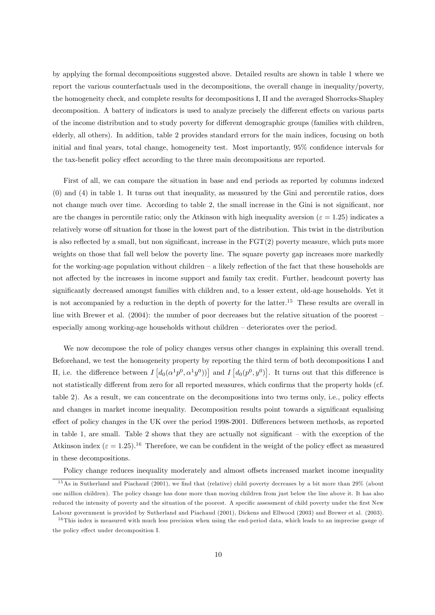by applying the formal decompositions suggested above. Detailed results are shown in table 1 where we report the various counterfactuals used in the decompositions, the overall change in inequality/poverty, the homogeneity check, and complete results for decompositions I, II and the averaged Shorrocks-Shapley decomposition. A battery of indicators is used to analyze precisely the different effects on various parts of the income distribution and to study poverty for different demographic groups (families with children, elderly, all others). In addition, table 2 provides standard errors for the main indices, focusing on both initial and final years, total change, homogeneity test. Most importantly, 95% confidence intervals for the tax-benefit policy effect according to the three main decompositions are reported.

First of all, we can compare the situation in base and end periods as reported by columns indexed (0) and (4) in table 1. It turns out that inequality, as measured by the Gini and percentile ratios, does not change much over time. According to table 2, the small increase in the Gini is not significant, nor are the changes in percentile ratio; only the Atkinson with high inequality aversion ( $\varepsilon = 1.25$ ) indicates a relatively worse off situation for those in the lowest part of the distribution. This twist in the distribution is also reflected by a small, but non significant, increase in the  $\text{FGT}(2)$  poverty measure, which puts more weights on those that fall well below the poverty line. The square poverty gap increases more markedly for the working-age population without children  $-$  a likely reflection of the fact that these households are not affected by the increases in income support and family tax credit. Further, headcount poverty has significantly decreased amongst families with children and, to a lesser extent, old-age households. Yet it is not accompanied by a reduction in the depth of poverty for the latter.<sup>15</sup> These results are overall in line with Brewer et al.  $(2004)$ : the number of poor decreases but the relative situation of the poorest  $$ especially among working-age households without children  $-\,$  deteriorates over the period.

We now decompose the role of policy changes versus other changes in explaining this overall trend. Beforehand, we test the homogeneity property by reporting the third term of both decompositions I and II, i.e. the difference between  $I\left[d_0(\alpha^1 p^0, \alpha^1 y^0)\right]$  and  $I\left[d_0(p^0, y^0)\right]$ . It turns out that this difference is not statistically different from zero for all reported measures, which confirms that the property holds (cf. table 2). As a result, we can concentrate on the decompositions into two terms only, i.e., policy effects and changes in market income inequality. Decomposition results point towards a significant equalising effect of policy changes in the UK over the period 1998-2001. Differences between methods, as reported in table 1, are small. Table 2 shows that they are actually not significant  $-$  with the exception of the Atkinson index ( $\varepsilon = 1.25$ ).<sup>16</sup> Therefore, we can be confident in the weight of the policy effect as measured in these decompositions.

Policy change reduces inequality moderately and almost offsets increased market income inequality

 $15$ As in Sutherland and Piachaud (2001), we find that (relative) child poverty decreases by a bit more than 29% (about one million children). The policy change has done more than moving children from just below the line above it. It has also reduced the intensity of poverty and the situation of the poorest. A specific assessment of child poverty under the first New Labour government is provided by Sutherland and Piachaud (2001), Dickens and Ellwood (2003) and Brewer et al. (2003).

 $16$  This index is measured with much less precision when using the end-period data, which leads to an imprecise gauge of the policy effect under decomposition I.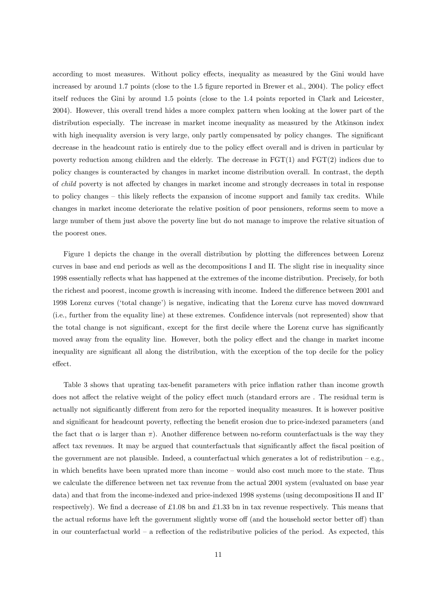according to most measures. Without policy effects, inequality as measured by the Gini would have increased by around 1.7 points (close to the  $1.5$  figure reported in Brewer et al.,  $2004$ ). The policy effect itself reduces the Gini by around 1.5 points (close to the 1.4 points reported in Clark and Leicester, 2004). However, this overall trend hides a more complex pattern when looking at the lower part of the distribution especially. The increase in market income inequality as measured by the Atkinson index with high inequality aversion is very large, only partly compensated by policy changes. The significant decrease in the headcount ratio is entirely due to the policy effect overall and is driven in particular by poverty reduction among children and the elderly. The decrease in  $FGT(1)$  and  $FGT(2)$  indices due to policy changes is counteracted by changes in market income distribution overall. In contrast, the depth of *child* poverty is not affected by changes in market income and strongly decreases in total in response to policy changes – this likely reflects the expansion of income support and family tax credits. While changes in market income deteriorate the relative position of poor pensioners, reforms seem to move a large number of them just above the poverty line but do not manage to improve the relative situation of the poorest ones.

Figure 1 depicts the change in the overall distribution by plotting the differences between Lorenz curves in base and end periods as well as the decompositions I and II. The slight rise in inequality since 1998 essentially reflects what has happened at the extremes of the income distribution. Precisely, for both the richest and poorest, income growth is increasing with income. Indeed the difference between 2001 and 1998 Lorenz curves ('total change') is negative, indicating that the Lorenz curve has moved downward (i.e., further from the equality line) at these extremes. Confidence intervals (not represented) show that the total change is not significant, except for the first decile where the Lorenz curve has significantly moved away from the equality line. However, both the policy effect and the change in market income inequality are significant all along the distribution, with the exception of the top decile for the policy effect.

Table 3 shows that uprating tax-benefit parameters with price inflation rather than income growth does not affect the relative weight of the policy effect much (standard errors are. The residual term is actually not significantly different from zero for the reported inequality measures. It is however positive and significant for headcount poverty, reflecting the benefit erosion due to price-indexed parameters (and the fact that  $\alpha$  is larger than  $\pi$ ). Another difference between no-reform counterfactuals is the way they affect tax revenues. It may be argued that counterfactuals that significantly affect the fiscal position of the government are not plausible. Indeed, a counterfactual which generates a lot of redistribution  $-e.g.,$ in which benefits have been uprated more than income – would also cost much more to the state. Thus we calculate the difference between net tax revenue from the actual 2001 system (evaluated on base year data) and that from the income-indexed and price-indexed 1998 systems (using decompositions II and II<sup>'</sup> respectively). We find a decrease of £1.08 bn and £1.33 bn in tax revenue respectively. This means that the actual reforms have left the government slightly worse off (and the household sector better off) than in our counterfactual world  $-$  a reflection of the redistributive policies of the period. As expected, this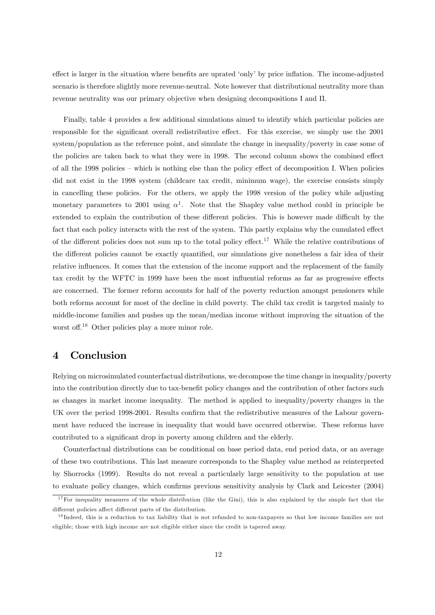effect is larger in the situation where benefits are uprated 'only' by price inflation. The income-adjusted scenario is therefore slightly more revenue-neutral. Note however that distributional neutrality more than revenue neutrality was our primary objective when designing decompositions I and II.

Finally, table 4 provides a few additional simulations aimed to identify which particular policies are responsible for the significant overall redistributive effect. For this exercise, we simply use the 2001 system/population as the reference point, and simulate the change in inequality/poverty in case some of the policies are taken back to what they were in 1998. The second column shows the combined effect of all the 1998 policies  $-$  which is nothing else than the policy effect of decomposition I. When policies did not exist in the 1998 system (childcare tax credit, minimum wage), the exercise consists simply in cancelling these policies. For the others, we apply the 1998 version of the policy while adjusting monetary parameters to 2001 using  $\alpha^1$ . Note that the Shapley value method could in principle be extended to explain the contribution of these different policies. This is however made difficult by the fact that each policy interacts with the rest of the system. This partly explains why the cumulated effect of the different policies does not sum up to the total policy effect.<sup>17</sup> While the relative contributions of the different policies cannot be exactly quantified, our simulations give nonetheless a fair idea of their relative influences. It comes that the extension of the income support and the replacement of the family tax credit by the WFTC in 1999 have been the most influential reforms as far as progressive effects are concerned. The former reform accounts for half of the poverty reduction amongst pensioners while both reforms account for most of the decline in child poverty. The child tax credit is targeted mainly to middle-income families and pushes up the mean/median income without improving the situation of the worst off.<sup>18</sup> Other policies play a more minor role.

# 4 Conclusion

Relying on microsimulated counterfactual distributions, we decompose the time change in inequality/poverty into the contribution directly due to tax-benefit policy changes and the contribution of other factors such as changes in market income inequality. The method is applied to inequality/poverty changes in the UK over the period 1998-2001. Results confirm that the redistributive measures of the Labour government have reduced the increase in inequality that would have occurred otherwise. These reforms have contributed to a significant drop in poverty among children and the elderly.

Counterfactual distributions can be conditional on base period data, end period data, or an average of these two contributions. This last measure corresponds to the Shapley value method as reinterpreted by Shorrocks (1999). Results do not reveal a particularly large sensitivity to the population at use to evaluate policy changes, which confirms previous sensitivity analysis by Clark and Leicester (2004)

 $17$  For inequality measures of the whole distribution (like the Gini), this is also explained by the simple fact that the different policies affect different parts of the distribution.

 $18$  Indeed, this is a reduction to tax liability that is not refunded to non-taxpayers so that low income families are not eligible; those with high income are not eligible either since the credit is tapered away.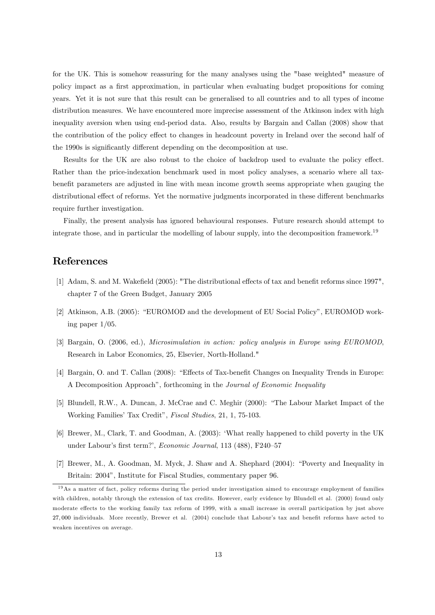for the UK. This is somehow reassuring for the many analyses using the "base weighted" measure of policy impact as a first approximation, in particular when evaluating budget propositions for coming years. Yet it is not sure that this result can be generalised to all countries and to all types of income distribution measures. We have encountered more imprecise assessment of the Atkinson index with high inequality aversion when using end-period data. Also, results by Bargain and Callan (2008) show that the contribution of the policy effect to changes in headcount poverty in Ireland over the second half of the 1990s is significantly different depending on the decomposition at use.

Results for the UK are also robust to the choice of backdrop used to evaluate the policy effect. Rather than the price-indexation benchmark used in most policy analyses, a scenario where all taxbenefit parameters are adjusted in line with mean income growth seems appropriate when gauging the distributional effect of reforms. Yet the normative judgments incorporated in these different benchmarks require further investigation.

Finally, the present analysis has ignored behavioural responses. Future research should attempt to integrate those, and in particular the modelling of labour supply, into the decomposition framework.<sup>19</sup>

# References

- [1] Adam, S. and M. Wakefield (2005): "The distributional effects of tax and benefit reforms since 1997", chapter 7 of the Green Budget, January 2005
- $[2]$  Atkinson, A.B. (2005): "EUROMOD and the development of EU Social Policy", EUROMOD working paper 1/05.
- [3] Bargain, O. (2006, ed.), Microsimulation in action: policy analysis in Europe using EUROMOD, Research in Labor Economics, 25, Elsevier, North-Holland."
- [4] Bargain, O. and T. Callan (2008): "Effects of Tax-benefit Changes on Inequality Trends in Europe: A Decomposition Approach", forthcoming in the *Journal of Economic Inequality*
- [5] Blundell, R.W., A. Duncan, J. McCrae and C. Meghir (2000): "The Labour Market Impact of the Working Families' Tax Credit", Fiscal Studies, 21, 1, 75-103.
- [6] Brewer, M., Clark, T. and Goodman, A. (2003): ëWhat really happened to child poverty in the UK under Labour's first term?', Economic Journal, 113 (488), F240-57
- [7] Brewer, M., A. Goodman, M. Myck, J. Shaw and A. Shephard (2004): "Poverty and Inequality in Britain: 2004", Institute for Fiscal Studies, commentary paper 96.

 $19$ As a matter of fact, policy reforms during the period under investigation aimed to encourage employment of families with children, notably through the extension of tax credits. However, early evidence by Blundell et al. (2000) found only moderate effects to the working family tax reform of 1999, with a small increase in overall participation by just above 27,000 individuals. More recently, Brewer et al. (2004) conclude that Labour's tax and benefit reforms have acted to weaken incentives on average.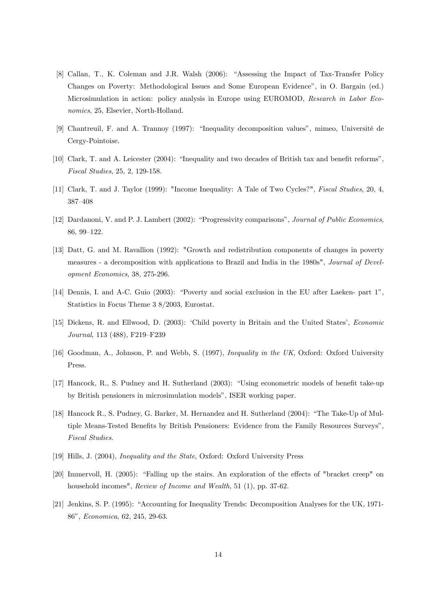- [8] Callan, T., K. Coleman and J.R. Walsh (2006): "Assessing the Impact of Tax-Transfer Policy Changes on Poverty: Methodological Issues and Some European Evidence", in O. Bargain (ed.) Microsimulation in action: policy analysis in Europe using EUROMOD, Research in Labor Economics, 25, Elsevier, North-Holland.
- [9] Chantreuil, F. and A. Trannoy (1997): "Inequality decomposition values", mimeo, Université de Cergy-Pointoise.
- $[10]$  Clark, T. and A. Leicester  $(2004)$ : "Inequality and two decades of British tax and benefit reforms", Fiscal Studies, 25, 2, 129-158.
- [11] Clark, T. and J. Taylor (1999): "Income Inequality: A Tale of Two Cycles?", Fiscal Studies, 20, 4, 387-408
- [12] Dardanoni, V. and P. J. Lambert (2002): "Progressivity comparisons", Journal of Public Economics, 86, 99-122.
- [13] Datt, G. and M. Ravallion (1992): "Growth and redistribution components of changes in poverty measures - a decomposition with applications to Brazil and India in the 1980s", Journal of Development Economics, 38, 275-296.
- [14] Dennis, I. and A-C. Guio (2003): "Poverty and social exclusion in the EU after Laeken- part 1". Statistics in Focus Theme 3 8/2003, Eurostat.
- [15] Dickens, R. and Ellwood, D. (2003): 'Child poverty in Britain and the United States', *Economic* Journal, 113 (488), F219-F239
- [16] Goodman, A., Johnson, P. and Webb, S. (1997), Inequality in the UK, Oxford: Oxford University Press.
- [17] Hancock, R., S. Pudney and H. Sutherland (2003): "Using econometric models of benefit take-up by British pensioners in microsimulation modelsî, ISER working paper.
- [18] Hancock R., S. Pudney, G. Barker, M. Hernandez and H. Sutherland (2004): "The Take-Up of Multiple Means-Tested Benefits by British Pensioners: Evidence from the Family Resources Surveys", Fiscal Studies.
- [19] Hills, J. (2004), Inequality and the State, Oxford: Oxford University Press
- [20] Immervoll, H. (2005): "Falling up the stairs. An exploration of the effects of "bracket creep" on household incomes", *Review of Income and Wealth*, 51 (1), pp. 37-62.
- [21] Jenkins, S. P. (1995): "Accounting for Inequality Trends: Decomposition Analyses for the UK, 1971-86î, Economica, 62, 245, 29-63.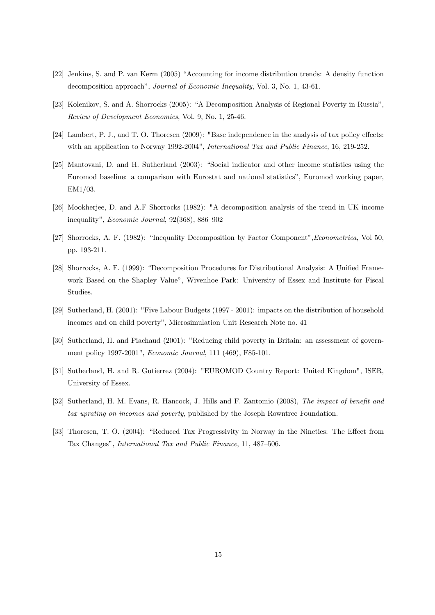- [22] Jenkins, S. and P. van Kerm (2005) "Accounting for income distribution trends: A density function decomposition approach", Journal of Economic Inequality, Vol. 3, No. 1, 43-61.
- [23] Kolenikov, S. and A. Shorrocks (2005): "A Decomposition Analysis of Regional Poverty in Russia", Review of Development Economics, Vol. 9, No. 1, 25-46.
- [24] Lambert, P. J., and T. O. Thoresen  $(2009)$ : "Base independence in the analysis of tax policy effects: with an application to Norway 1992-2004", International Tax and Public Finance, 16, 219-252.
- [25] Mantovani, D. and H. Sutherland (2003): "Social indicator and other income statistics using the Euromod baseline: a comparison with Eurostat and national statisticsî, Euromod working paper, EM1/03.
- [26] Mookherjee, D. and A.F Shorrocks (1982): "A decomposition analysis of the trend in UK income inequality",  $Economic\ Journal$ , 92(368), 886-902
- [27] Shorrocks, A. F. (1982): "Inequality Decomposition by Factor Component", Econometrica, Vol 50, pp. 193-211.
- [28] Shorrocks, A. F. (1999): "Decomposition Procedures for Distributional Analysis: A Unified Framework Based on the Shapley Value", Wivenhoe Park: University of Essex and Institute for Fiscal Studies.
- [29] Sutherland, H. (2001): "Five Labour Budgets (1997 2001): impacts on the distribution of household incomes and on child poverty", Microsimulation Unit Research Note no. 41
- [30] Sutherland, H. and Piachaud (2001): "Reducing child poverty in Britain: an assessment of government policy 1997-2001", Economic Journal, 111 (469), F85-101.
- [31] Sutherland, H. and R. Gutierrez (2004): "EUROMOD Country Report: United Kingdom", ISER, University of Essex.
- [32] Sutherland, H. M. Evans, R. Hancock, J. Hills and F. Zantomio (2008), The impact of benefit and tax uprating on incomes and poverty, published by the Joseph Rowntree Foundation.
- [33] Thoresen, T. O. (2004): "Reduced Tax Progressivity in Norway in the Nineties: The Effect from Tax Changes", *International Tax and Public Finance*, 11, 487–506.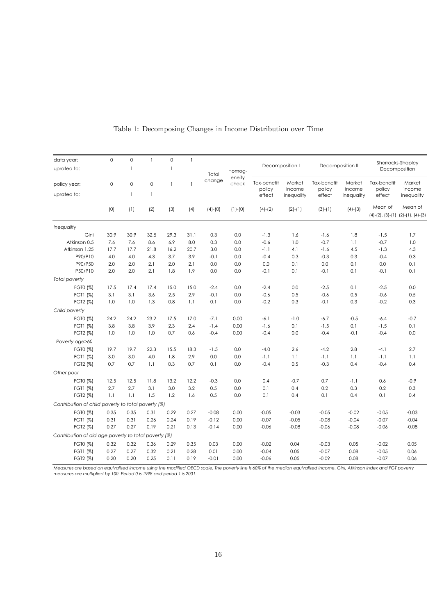| data year:                                           | $\mathbf 0$ | $\mathbf 0$              | $\overline{\phantom{a}}$ | $\circ$        | $\overline{\phantom{a}}$ | Decomposition I |                 |                       | Decomposition II |                       | Shorrocks-Shapley |                                                        |                  |  |
|------------------------------------------------------|-------------|--------------------------|--------------------------|----------------|--------------------------|-----------------|-----------------|-----------------------|------------------|-----------------------|-------------------|--------------------------------------------------------|------------------|--|
| uprated to:                                          |             | $\overline{1}$           |                          | $\overline{1}$ |                          | Total           | Homog-          |                       |                  |                       |                   |                                                        | Decomposition    |  |
| policy year:                                         | $\mathbf 0$ | $\mathbf 0$              | $\mathbf 0$              | $\mathbf{1}$   | $\mathbf{1}$             | change          | eneity<br>check | Tax-benefit<br>policy | Market<br>income | Tax-benefit<br>policy | Market<br>income  | Tax-benefit<br>policy                                  | Market<br>income |  |
| uprated to:                                          |             | $\overline{\phantom{a}}$ | $\overline{\phantom{a}}$ |                |                          |                 |                 | effect                | inequality       | effect                | inequality        | effect                                                 | inequality       |  |
|                                                      | (0)         | (1)                      | (2)                      | (3)            | (4)                      | $(4)-(0)$       | $(1)-(0)$       | $(4)-(2)$             | $(2)-(1)$        | $(3)-(1)$             | $(4)-(3)$         | Mean of<br>$(4)-(2)$ , $(3)-(1)$ $(2)-(1)$ , $(4)-(3)$ | Mean of          |  |
| Inequality                                           |             |                          |                          |                |                          |                 |                 |                       |                  |                       |                   |                                                        |                  |  |
| Gini                                                 | 30.9        | 30.9                     | 32.5                     | 29.3           | 31.1                     | 0.3             | 0.0             | $-1.3$                | 1.6              | $-1.6$                | 1.8               | $-1.5$                                                 | 1.7              |  |
| Atkinson 0.5                                         | 7.6         | 7.6                      | 8.6                      | 6.9            | 8.0                      | 0.3             | 0.0             | $-0.6$                | 1.0              | $-0.7$                | 1.1               | $-0.7$                                                 | 1.0              |  |
| Atkinson 1.25                                        | 17.7        | 17.7                     | 21.8                     | 16.2           | 20.7                     | 3.0             | 0.0             | $-1.1$                | 4.1              | $-1.6$                | 4.5               | $-1.3$                                                 | 4.3              |  |
| P90/P10                                              | 4.0         | 4.0                      | 4.3                      | 3.7            | 3.9                      | $-0.1$          | 0.0             | $-0.4$                | 0.3              | $-0.3$                | 0.3               | $-0.4$                                                 | 0.3              |  |
| P90/P50                                              | 2.0         | 2.0                      | 2.1                      | 2.0            | 2.1                      | 0.0             | 0.0             | 0.0                   | 0.1              | 0.0                   | 0.1               | 0.0                                                    | 0.1              |  |
| P50/P10                                              | 2.0         | 2.0                      | 2.1                      | 1.8            | 1.9                      | 0.0             | 0.0             | $-0.1$                | 0.1              | $-0.1$                | 0.1               | $-0.1$                                                 | 0.1              |  |
| <b>Total poverty</b>                                 |             |                          |                          |                |                          |                 |                 |                       |                  |                       |                   |                                                        |                  |  |
| FGT0 (%)                                             | 17.5        | 17.4                     | 17.4                     | 15.0           | 15.0                     | $-2.4$          | 0.0             | $-2.4$                | 0.0              | $-2.5$                | 0.1               | $-2.5$                                                 | 0.0              |  |
| FGT1 (%)                                             | 3.1         | 3.1                      | 3.6                      | 2.5            | 2.9                      | $-0.1$          | 0.0             | $-0.6$                | 0.5              | $-0.6$                | 0.5               | $-0.6$                                                 | 0.5              |  |
| FGT2 (%)                                             | 1.0         | 1.0                      | 1.3                      | 0.8            | 1.1                      | 0.1             | 0.0             | $-0.2$                | 0.3              | $-0.1$                | 0.3               | $-0.2$                                                 | 0.3              |  |
| Child poverty                                        |             |                          |                          |                |                          |                 |                 |                       |                  |                       |                   |                                                        |                  |  |
| FGT0 (%)                                             | 24.2        | 24.2                     | 23.2                     | 17.5           | 17.0                     | $-7.1$          | 0.00            | $-6.1$                | $-1.0$           | $-6.7$                | $-0.5$            | $-6.4$                                                 | $-0.7$           |  |
| FGT1 (%)                                             | 3.8         | 3.8                      | 3.9                      | 2.3            | 2.4                      | $-1.4$          | 0.00            | $-1.6$                | 0.1              | $-1.5$                | 0.1               | $-1.5$                                                 | 0.1              |  |
| FGT2 (%)                                             | 1.0         | 1.0                      | 1.0                      | 0.7            | 0.6                      | $-0.4$          | 0.00            | $-0.4$                | 0.0              | $-0.4$                | $-0.1$            | $-0.4$                                                 | 0.0              |  |
| Poverty age>60                                       |             |                          |                          |                |                          |                 |                 |                       |                  |                       |                   |                                                        |                  |  |
| FGT0 (%)                                             | 19.7        | 19.7                     | 22.3                     | 15.5           | 18.3                     | $-1.5$          | 0.0             | $-4.0$                | 2.6              | $-4.2$                | 2.8               | $-4.1$                                                 | 2.7              |  |
| FGT1 (%)                                             | 3.0         | 3.0                      | 4.0                      | 1.8            | 2.9                      | 0.0             | 0.0             | $-1.1$                | 1.1              | $-1.1$                | 1.1               | $-1.1$                                                 | 1.1              |  |
| FGT2 (%)                                             | 0.7         | 0.7                      | 1.1                      | 0.3            | 0.7                      | 0.1             | 0.0             | $-0.4$                | 0.5              | $-0.3$                | 0.4               | $-0.4$                                                 | 0.4              |  |
| Other poor                                           |             |                          |                          |                |                          |                 |                 |                       |                  |                       |                   |                                                        |                  |  |
| FGT0 (%)                                             | 12.5        | 12.5                     | 11.8                     | 13.2           | 12.2                     | $-0.3$          | 0.0             | 0.4                   | $-0.7$           | 0.7                   | $-1.1$            | 0.6                                                    | $-0.9$           |  |
| FGT1 (%)                                             | 2.7         | 2.7                      | 3.1                      | 3.0            | 3.2                      | 0.5             | 0.0             | 0.1                   | 0.4              | 0.2                   | 0.3               | 0.2                                                    | 0.3              |  |
| FGT2 (%)                                             | 1.1         | 1.1                      | 1.5                      | 1.2            | 1.6                      | 0.5             | 0.0             | 0.1                   | 0.4              | 0.1                   | 0.4               | 0.1                                                    | 0.4              |  |
| Contribution of child poverty to total poverty (%)   |             |                          |                          |                |                          |                 |                 |                       |                  |                       |                   |                                                        |                  |  |
|                                                      |             |                          |                          |                |                          |                 |                 |                       |                  |                       |                   |                                                        |                  |  |
| FGT0 (%)                                             | 0.35        | 0.35                     | 0.31                     | 0.29           | 0.27                     | $-0.08$         | 0.00            | $-0.05$               | $-0.03$          | $-0.05$               | $-0.02$           | $-0.05$<br>$-0.07$                                     | $-0.03$          |  |
| FGT1 (%)                                             | 0.31        | 0.31                     | 0.26                     | 0.24           | 0.19                     | $-0.12$         | 0.00            | $-0.07$               | $-0.05$          | $-0.08$               | $-0.04$           |                                                        | $-0.04$          |  |
| FGT2 (%)                                             | 0.27        | 0.27                     | 0.19                     | 0.21           | 0.13                     | $-0.14$         | 0.00            | $-0.06$               | $-0.08$          | $-0.06$               | $-0.08$           | $-0.06$                                                | $-0.08$          |  |
| Contribution of old age poverty to total poverty (%) |             |                          |                          |                |                          |                 |                 |                       |                  |                       |                   |                                                        |                  |  |
| FGT0 (%)                                             | 0.32        | 0.32                     | 0.36                     | 0.29           | 0.35                     | 0.03            | 0.00            | $-0.02$               | 0.04             | $-0.03$               | 0.05              | $-0.02$                                                | 0.05             |  |
| FGT1 (%)                                             | 0.27        | 0.27                     | 0.32                     | 0.21           | 0.28                     | 0.01            | 0.00            | $-0.04$               | 0.05             | $-0.07$               | 0.08              | $-0.05$                                                | 0.06             |  |
| FGT2 (%)                                             | 0.20        | 0.20                     | 0.25                     | 0.11           | 0.19                     | $-0.01$         | 0.00            | $-0.06$               | 0.05             | $-0.09$               | 0.08              | $-0.07$                                                | 0.06             |  |

Table 1: Decomposing Changes in Income Distribution over Time

Measures are based on equivalized income using the modified OECD scale. The poverty line is 60% of the median equivalized income. Gini, Atkinson index and FGT poverty<br>measures are multiplied by 100. Period 0 is 1998 and pe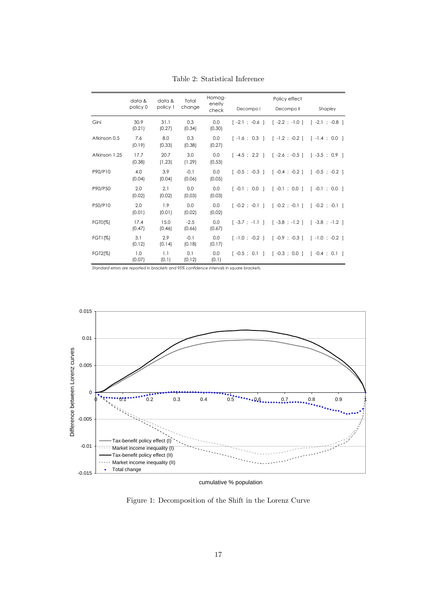|               | data &<br>policy 0 | data &<br>policy 1 | Total<br>change  | Homog-<br>eneity | Decompo I | Policy effect<br>Decompo II                                                                            | Shapley |
|---------------|--------------------|--------------------|------------------|------------------|-----------|--------------------------------------------------------------------------------------------------------|---------|
|               |                    |                    |                  | check            |           |                                                                                                        |         |
| Gini          | 30.9<br>(0.21)     | 31.1<br>(0.27)     | 0.3<br>(0.34)    | 0.0<br>(0.30)    |           | $[-2.1; -0.6]$ $[-2.2; -1.0]$ $[-2.1; -0.8]$                                                           |         |
| Atkinson 0.5  | 7.6<br>(0.19)      | 8.0<br>(0.33)      | 0.3<br>(0.38)    | 0.0<br>(0.27)    |           | $\lceil -1.6 \rceil$ 0.3   $\lceil -1.2 \rceil$ -0.2   $\lceil -1.4 \rceil$ 0.0                        |         |
| Atkinson 1.25 | 17.7<br>(0.38)     | 20.7<br>(1.23)     | 3.0<br>(1.29)    | 0.0<br>(0.53)    |           | $[-4.5; 2.2]$ $[-2.6; -0.5]$ $[-3.5; 0.9]$                                                             |         |
| P90/P10       | 4.0<br>(0.04)      | 3.9<br>(0.04)      | $-0.1$<br>(0.06) | 0.0<br>(0.05)    |           | $\lceil -0.5 \rceil$ -0.3   $\lceil -0.4 \rceil$ -0.2   $\lceil -0.5 \rceil$ -0.2                      |         |
| P90/P50       | 2.0<br>(0.02)      | 2.1<br>(0.02)      | 0.0<br>(0.03)    | 0.0<br>(0.03)    |           | $\lceil -0.1 \rceil$ ; 0.0   $\lceil -0.1 \rceil$ ; 0.0   $\lceil -0.1 \rceil$ ; 0.0                   |         |
| P50/P10       | 2.0<br>(0.01)      | 1.9<br>(0.01)      | 0.0<br>(0.02)    | 0.0<br>(0.02)    |           | $\lceil -0.2 \rceil$ -0.1   $\lceil -0.2 \rceil$ -0.1   $\lceil -0.2 \rceil$ -0.2 $\lceil -0.1 \rceil$ |         |
| FGT0(%)       | 17.4<br>(0.47)     | 15.0<br>(0.46)     | $-2.5$<br>(0.66) | 0.0<br>(0.67)    |           | $[-3.7; -1.1]$ $[-3.8; -1.2]$ $[-3.8; -1.2]$                                                           |         |
| FGT1(%)       | 3.1<br>(0.12)      | 2.9<br>(0.14)      | $-0.1$<br>(0.18) | 0.0<br>(0.17)    |           | $\lceil -1.0 \rceil$ -0.2   $\lceil -0.9 \rceil$ -0.3   $\lceil -1.0 \rceil$ -0.2                      |         |
| FGT2(%)       | 1.0<br>(0.07)      | 1.1<br>(0.1)       | 0.1<br>(0.12)    | 0.0<br>(0.1)     |           | $[-0.5; 0.1]$ $[-0.3; 0.0]$ $[-0.4; 0.1]$                                                              |         |

Table 2: Statistical Inference

*Standard errors are reported in brackets and 95% confidence intervals in square brackets.*



cumulative % population

Figure 1: Decomposition of the Shift in the Lorenz Curve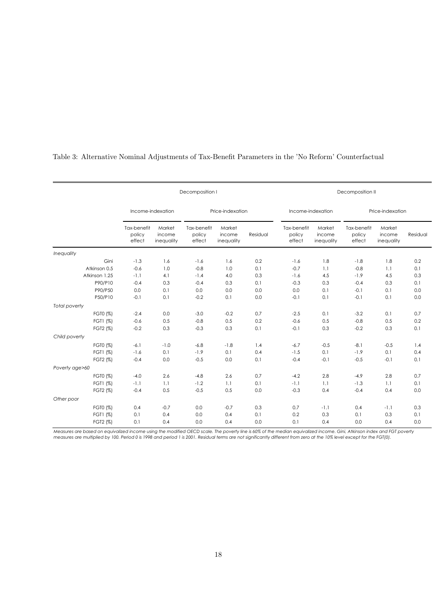|                |                                 |                                | Decomposition I                 |                                | Decomposition II |                                 |                                |                                 |                                |            |
|----------------|---------------------------------|--------------------------------|---------------------------------|--------------------------------|------------------|---------------------------------|--------------------------------|---------------------------------|--------------------------------|------------|
|                | Income-indexation               |                                | Price-indexation                |                                |                  | Income-indexation               |                                | Price-indexation                |                                |            |
|                | Tax-benefit<br>policy<br>effect | Market<br>income<br>inequality | Tax-benefit<br>policy<br>effect | Market<br>income<br>inequality | Residual         | Tax-benefit<br>policy<br>effect | Market<br>income<br>inequality | Tax-benefit<br>policy<br>effect | Market<br>income<br>inequality | Residual   |
| Inequality     |                                 |                                |                                 |                                |                  |                                 |                                |                                 |                                |            |
| Gini           | $-1.3$                          | 1.6                            | $-1.6$                          | 1.6                            | 0.2              | $-1.6$                          | 1.8                            | $-1.8$                          | 1.8                            | 0.2        |
| Atkinson 0.5   | $-0.6$                          | 1.0                            | $-0.8$                          | 1.0                            | 0.1              | $-0.7$                          | 1.1                            | $-0.8$                          | 1.1                            | 0.1        |
| Atkinson 1.25  | $-1.1$                          | 4.1                            | $-1.4$                          | 4.0                            | 0.3              | $-1.6$                          | 4.5                            | $-1.9$                          | 4.5                            | 0.3        |
| P90/P10        | $-0.4$                          | 0.3                            | $-0.4$                          | 0.3                            | 0.1              | $-0.3$                          | 0.3                            | $-0.4$                          | 0.3                            | 0.1        |
| P90/P50        | 0.0                             | 0.1                            | 0.0                             | 0.0                            | 0.0              | 0.0                             | 0.1                            | $-0.1$                          | 0.1                            | 0.0        |
| P50/P10        | $-0.1$                          | 0.1                            | $-0.2$                          | 0.1                            | 0.0              | $-0.1$                          | 0.1                            | $-0.1$                          | 0.1                            | 0.0        |
| Total poverty  |                                 |                                |                                 |                                |                  |                                 |                                |                                 |                                |            |
| FGT0 (%)       | $-2.4$                          | 0.0                            | $-3.0$                          | $-0.2$                         | 0.7              | $-2.5$                          | 0.1                            | $-3.2$                          | 0.1                            | 0.7        |
| FGT1 (%)       | $-0.6$                          | 0.5                            | $-0.8$                          | 0.5                            | 0.2              | $-0.6$                          | 0.5                            | $-0.8$                          | 0.5                            | 0.2        |
| FGT2 (%)       | $-0.2$                          | 0.3                            | $-0.3$                          | 0.3                            | 0.1              | $-0.1$                          | 0.3                            | $-0.2$                          | 0.3                            | 0.1        |
| Child poverty  |                                 |                                |                                 |                                |                  |                                 |                                |                                 |                                |            |
| FGT0 (%)       | $-6.1$                          | $-1.0$                         | $-6.8$                          | $-1.8$                         | 1.4              | $-6.7$                          | $-0.5$                         | $-8.1$                          | $-0.5$                         | 1.4        |
| FGT1 (%)       | $-1.6$                          | 0.1                            | $-1.9$                          | 0.1                            | 0.4              | $-1.5$                          | 0.1                            | $-1.9$                          | 0.1                            | 0.4        |
| FGT2 (%)       | $-0.4$                          | 0.0                            | $-0.5$                          | 0.0                            | 0.1              | $-0.4$                          | $-0.1$                         | $-0.5$                          | $-0.1$                         | 0.1        |
| Poverty age>60 |                                 |                                |                                 |                                |                  |                                 |                                |                                 |                                |            |
| FGT0 (%)       | $-4.0$                          | 2.6                            | $-4.8$                          | 2.6                            | 0.7              | $-4.2$                          | 2.8                            | $-4.9$                          | 2.8                            | 0.7        |
| FGT1 (%)       | $-1.1$                          | 1.1                            | $-1.2$                          | 1.1                            | 0.1              | $-1.1$                          | 1.1                            | $-1.3$                          | 1.1                            | 0.1        |
| FGT2 (%)       | $-0.4$                          | 0.5                            | $-0.5$                          | 0.5                            | 0.0              | $-0.3$                          | 0.4                            | $-0.4$                          | 0.4                            | 0.0        |
| Other poor     |                                 |                                |                                 |                                |                  |                                 |                                |                                 |                                |            |
|                |                                 |                                |                                 |                                |                  |                                 |                                |                                 |                                |            |
| FGT0 (%)       | 0.4                             | $-0.7$                         | 0.0                             | $-0.7$                         | 0.3              | 0.7                             | $-1.1$                         | 0.4                             | $-1.1$                         | 0.3        |
| FGT1 (%)       | 0.1                             | 0.4                            | 0.0                             | 0.4                            | 0.1              | 0.2                             | 0.3                            | 0.1                             | 0.3                            | 0.1<br>0.0 |
| FGT2 (%)       | 0.1                             | 0.4                            | 0.0                             | 0.4                            | 0.0              | 0.1                             | 0.4                            | 0.0                             | 0.4                            |            |

### Table 3: Alternative Nominal Adjustments of Tax-Benefit Parameters in the 'No Reform' Counterfactual

Measures are based on equivalized income using the modified OECD scale. The poverty line is 60% of the median equivalized income. Gini, Atkinson index and FGT poverty<br>measures are multiplied by 100. Period 0 is 1998 and pe